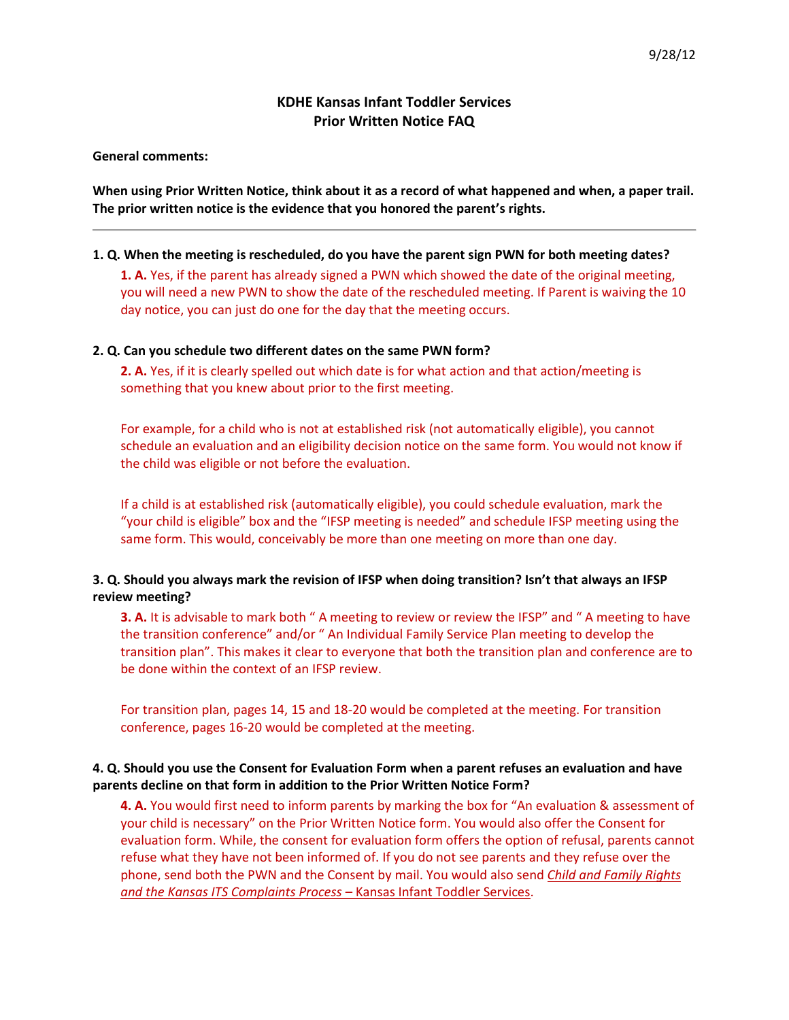# **KDHE Kansas Infant Toddler Services Prior Written Notice FAQ**

**General comments:**

**When using Prior Written Notice, think about it as a record of what happened and when, a paper trail. The prior written notice is the evidence that you honored the parent's rights.**

#### **1. Q. When the meeting is rescheduled, do you have the parent sign PWN for both meeting dates?**

**1. A.** Yes, if the parent has already signed a PWN which showed the date of the original meeting, you will need a new PWN to show the date of the rescheduled meeting. If Parent is waiving the 10 day notice, you can just do one for the day that the meeting occurs.

## **2. Q. Can you schedule two different dates on the same PWN form?**

**2. A.** Yes, if it is clearly spelled out which date is for what action and that action/meeting is something that you knew about prior to the first meeting.

For example, for a child who is not at established risk (not automatically eligible), you cannot schedule an evaluation and an eligibility decision notice on the same form. You would not know if the child was eligible or not before the evaluation.

If a child is at established risk (automatically eligible), you could schedule evaluation, mark the "your child is eligible" box and the "IFSP meeting is needed" and schedule IFSP meeting using the same form. This would, conceivably be more than one meeting on more than one day.

## **3. Q. Should you always mark the revision of IFSP when doing transition? Isn't that always an IFSP review meeting?**

**3. A.** It is advisable to mark both " A meeting to review or review the IFSP" and " A meeting to have the transition conference" and/or " An Individual Family Service Plan meeting to develop the transition plan". This makes it clear to everyone that both the transition plan and conference are to be done within the context of an IFSP review.

For transition plan, pages 14, 15 and 18-20 would be completed at the meeting. For transition conference, pages 16-20 would be completed at the meeting.

## **4. Q. Should you use the Consent for Evaluation Form when a parent refuses an evaluation and have parents decline on that form in addition to the Prior Written Notice Form?**

**4. A.** You would first need to inform parents by marking the box for "An evaluation & assessment of your child is necessary" on the Prior Written Notice form. You would also offer the Consent for evaluation form. While, the consent for evaluation form offers the option of refusal, parents cannot refuse what they have not been informed of. If you do not see parents and they refuse over the phone, send both the PWN and the Consent by mail. You would also send *Child and Family Rights and the Kansas ITS Complaints Process* – Kansas Infant Toddler Services.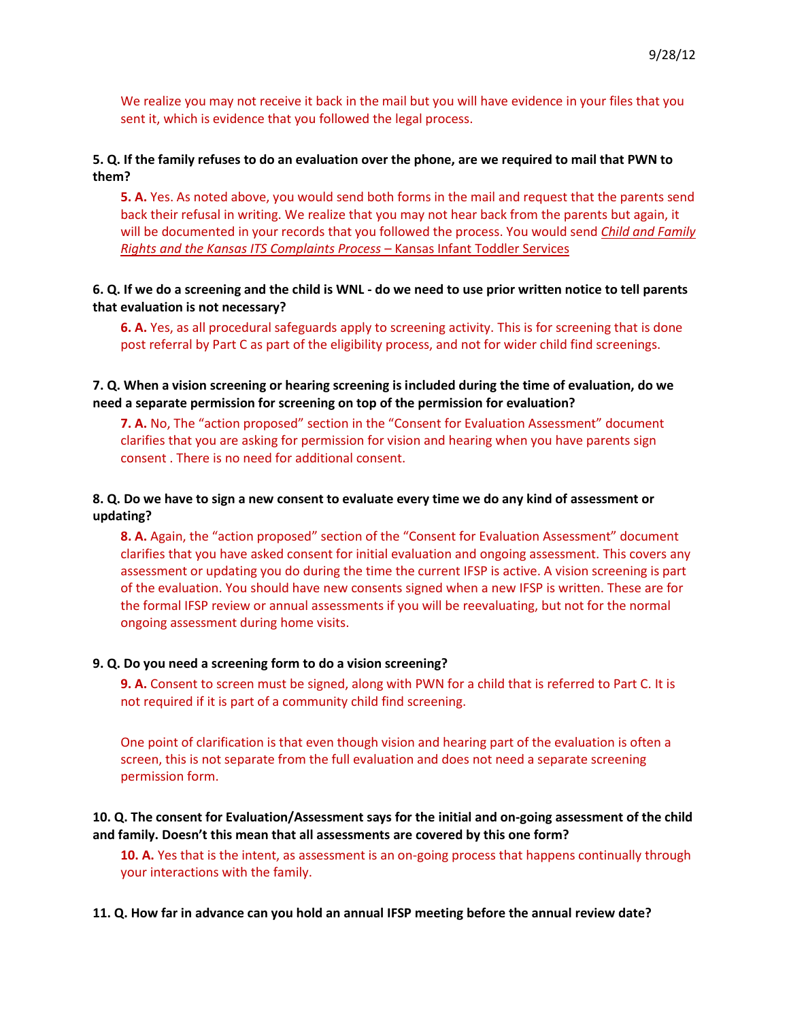We realize you may not receive it back in the mail but you will have evidence in your files that you sent it, which is evidence that you followed the legal process.

### **5. Q. If the family refuses to do an evaluation over the phone, are we required to mail that PWN to them?**

**5. A.** Yes. As noted above, you would send both forms in the mail and request that the parents send back their refusal in writing. We realize that you may not hear back from the parents but again, it will be documented in your records that you followed the process. You would send *Child and Family Rights and the Kansas ITS Complaints Process* – Kansas Infant Toddler Services

## **6. Q. If we do a screening and the child is WNL - do we need to use prior written notice to tell parents that evaluation is not necessary?**

**6. A.** Yes, as all procedural safeguards apply to screening activity. This is for screening that is done post referral by Part C as part of the eligibility process, and not for wider child find screenings.

#### **7. Q. When a vision screening or hearing screening is included during the time of evaluation, do we need a separate permission for screening on top of the permission for evaluation?**

**7. A.** No, The "action proposed" section in the "Consent for Evaluation Assessment" document clarifies that you are asking for permission for vision and hearing when you have parents sign consent . There is no need for additional consent.

### **8. Q. Do we have to sign a new consent to evaluate every time we do any kind of assessment or updating?**

**8. A.** Again, the "action proposed" section of the "Consent for Evaluation Assessment" document clarifies that you have asked consent for initial evaluation and ongoing assessment. This covers any assessment or updating you do during the time the current IFSP is active. A vision screening is part of the evaluation. You should have new consents signed when a new IFSP is written. These are for the formal IFSP review or annual assessments if you will be reevaluating, but not for the normal ongoing assessment during home visits.

#### **9. Q. Do you need a screening form to do a vision screening?**

**9. A.** Consent to screen must be signed, along with PWN for a child that is referred to Part C. It is not required if it is part of a community child find screening.

One point of clarification is that even though vision and hearing part of the evaluation is often a screen, this is not separate from the full evaluation and does not need a separate screening permission form.

**10. Q. The consent for Evaluation/Assessment says for the initial and on-going assessment of the child and family. Doesn't this mean that all assessments are covered by this one form?**

**10. A.** Yes that is the intent, as assessment is an on-going process that happens continually through your interactions with the family.

#### **11. Q. How far in advance can you hold an annual IFSP meeting before the annual review date?**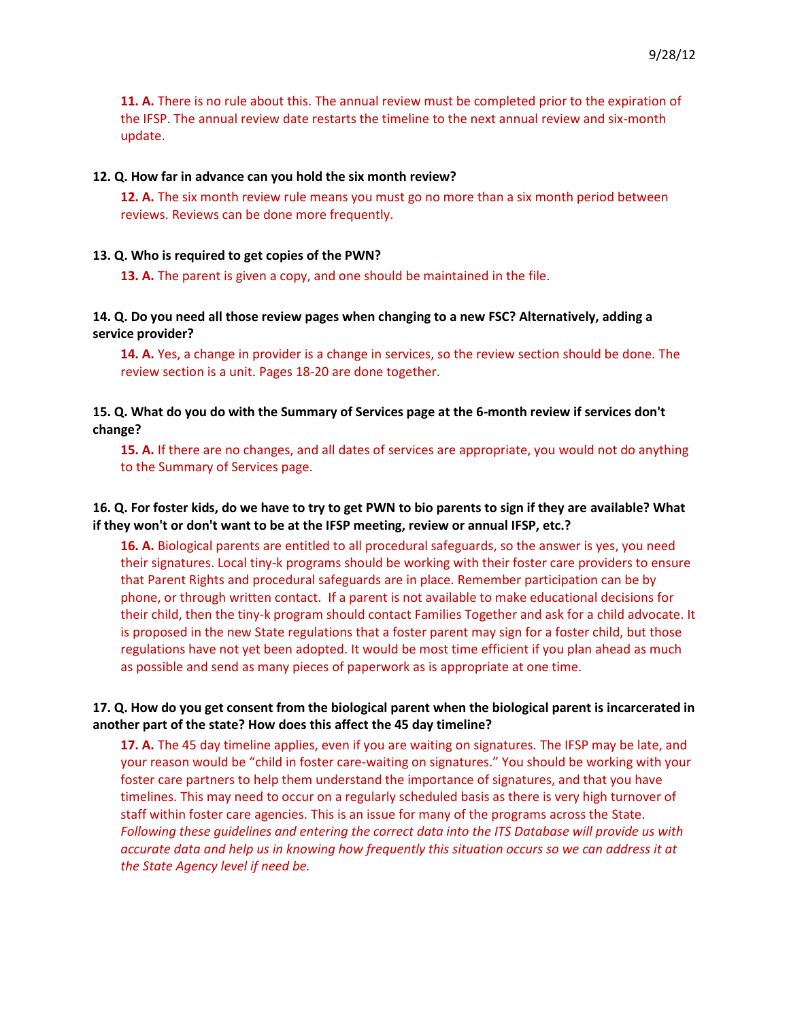**11. A.** There is no rule about this. The annual review must be completed prior to the expiration of the IFSP. The annual review date restarts the timeline to the next annual review and six-month update.

#### **12. Q. How far in advance can you hold the six month review?**

**12. A.** The six month review rule means you must go no more than a six month period between reviews. Reviews can be done more frequently.

#### **13. Q. Who is required to get copies of the PWN?**

**13. A.** The parent is given a copy, and one should be maintained in the file.

### **14. Q. Do you need all those review pages when changing to a new FSC? Alternatively, adding a service provider?**

**14. A.** Yes, a change in provider is a change in services, so the review section should be done. The review section is a unit. Pages 18-20 are done together.

### **15. Q. What do you do with the Summary of Services page at the 6-month review if services don't change?**

**15. A.** If there are no changes, and all dates of services are appropriate, you would not do anything to the Summary of Services page.

### **16. Q. For foster kids, do we have to try to get PWN to bio parents to sign if they are available? What if they won't or don't want to be at the IFSP meeting, review or annual IFSP, etc.?**

**16. A.** Biological parents are entitled to all procedural safeguards, so the answer is yes, you need their signatures. Local tiny-k programs should be working with their foster care providers to ensure that Parent Rights and procedural safeguards are in place. Remember participation can be by phone, or through written contact. If a parent is not available to make educational decisions for their child, then the tiny-k program should contact Families Together and ask for a child advocate. It is proposed in the new State regulations that a foster parent may sign for a foster child, but those regulations have not yet been adopted. It would be most time efficient if you plan ahead as much as possible and send as many pieces of paperwork as is appropriate at one time.

## **17. Q. How do you get consent from the biological parent when the biological parent is incarcerated in another part of the state? How does this affect the 45 day timeline?**

**17. A.** The 45 day timeline applies, even if you are waiting on signatures. The IFSP may be late, and your reason would be "child in foster care-waiting on signatures." You should be working with your foster care partners to help them understand the importance of signatures, and that you have timelines. This may need to occur on a regularly scheduled basis as there is very high turnover of staff within foster care agencies. This is an issue for many of the programs across the State. *Following these guidelines and entering the correct data into the ITS Database will provide us with accurate data and help us in knowing how frequently this situation occurs so we can address it at the State Agency level if need be.*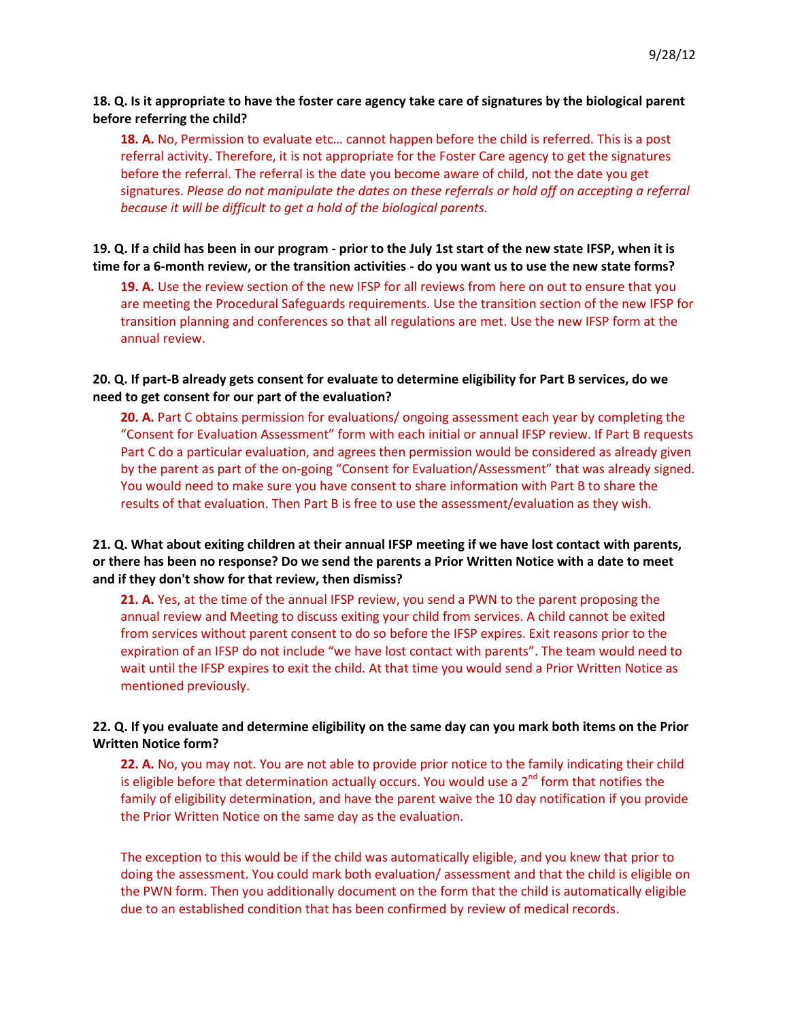### **18. Q. Is it appropriate to have the foster care agency take care of signatures by the biological parent before referring the child?**

**18. A.** No, Permission to evaluate etc… cannot happen before the child is referred. This is a post referral activity. Therefore, it is not appropriate for the Foster Care agency to get the signatures before the referral. The referral is the date you become aware of child, not the date you get signatures. *Please do not manipulate the dates on these referrals or hold off on accepting a referral because it will be difficult to get a hold of the biological parents.*

### **19. Q. If a child has been in our program - prior to the July 1st start of the new state IFSP, when it is time for a 6-month review, or the transition activities - do you want us to use the new state forms?**

**19. A.** Use the review section of the new IFSP for all reviews from here on out to ensure that you are meeting the Procedural Safeguards requirements. Use the transition section of the new IFSP for transition planning and conferences so that all regulations are met. Use the new IFSP form at the annual review.

### **20. Q. If part-B already gets consent for evaluate to determine eligibility for Part B services, do we need to get consent for our part of the evaluation?**

**20. A.** Part C obtains permission for evaluations/ ongoing assessment each year by completing the "Consent for Evaluation Assessment" form with each initial or annual IFSP review. If Part B requests Part C do a particular evaluation, and agrees then permission would be considered as already given by the parent as part of the on-going "Consent for Evaluation/Assessment" that was already signed. You would need to make sure you have consent to share information with Part B to share the results of that evaluation. Then Part B is free to use the assessment/evaluation as they wish.

## **21. Q. What about exiting children at their annual IFSP meeting if we have lost contact with parents, or there has been no response? Do we send the parents a Prior Written Notice with a date to meet and if they don't show for that review, then dismiss?**

**21. A.** Yes, at the time of the annual IFSP review, you send a PWN to the parent proposing the annual review and Meeting to discuss exiting your child from services. A child cannot be exited from services without parent consent to do so before the IFSP expires. Exit reasons prior to the expiration of an IFSP do not include "we have lost contact with parents". The team would need to wait until the IFSP expires to exit the child. At that time you would send a Prior Written Notice as mentioned previously.

## **22. Q. If you evaluate and determine eligibility on the same day can you mark both items on the Prior Written Notice form?**

**22. A.** No, you may not. You are not able to provide prior notice to the family indicating their child is eligible before that determination actually occurs. You would use a  $2^{nd}$  form that notifies the family of eligibility determination, and have the parent waive the 10 day notification if you provide the Prior Written Notice on the same day as the evaluation.

The exception to this would be if the child was automatically eligible, and you knew that prior to doing the assessment. You could mark both evaluation/ assessment and that the child is eligible on the PWN form. Then you additionally document on the form that the child is automatically eligible due to an established condition that has been confirmed by review of medical records.